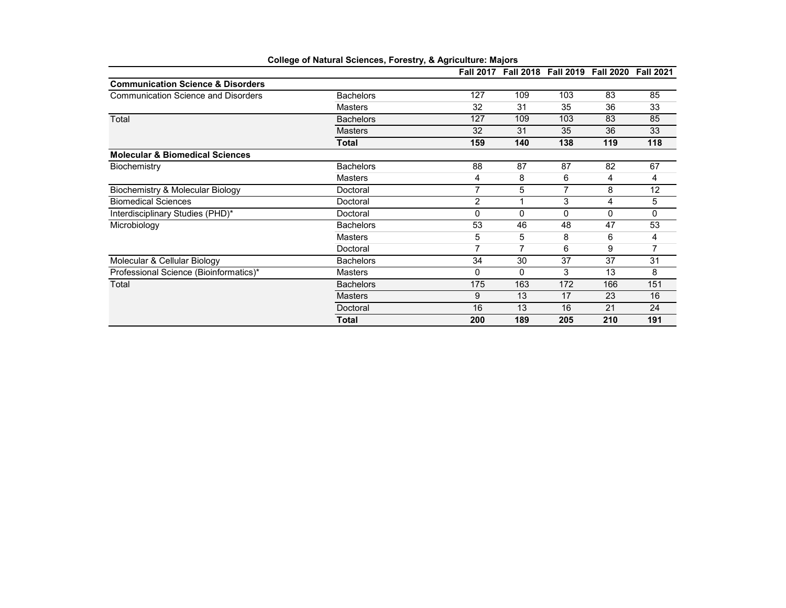|                                              |                  |                | Fall 2017 Fall 2018 Fall 2019 Fall 2020 Fall 2021 |     |     |     |
|----------------------------------------------|------------------|----------------|---------------------------------------------------|-----|-----|-----|
| <b>Communication Science &amp; Disorders</b> |                  |                |                                                   |     |     |     |
| <b>Communication Science and Disorders</b>   | <b>Bachelors</b> | 127            | 109                                               | 103 | 83  | 85  |
|                                              | <b>Masters</b>   | 32             | 31                                                | 35  | 36  | 33  |
| Total                                        | <b>Bachelors</b> | 127            | 109                                               | 103 | 83  | 85  |
|                                              | <b>Masters</b>   | 32             | 31                                                | 35  | 36  | 33  |
|                                              | <b>Total</b>     | 159            | 140                                               | 138 | 119 | 118 |
| <b>Molecular &amp; Biomedical Sciences</b>   |                  |                |                                                   |     |     |     |
| Biochemistry                                 | <b>Bachelors</b> | 88             | 87                                                | 87  | 82  | 67  |
|                                              | <b>Masters</b>   | 4              | 8                                                 | 6   | 4   | 4   |
| Biochemistry & Molecular Biology             | Doctoral         | 7              | 5                                                 | 7   | 8   | 12  |
| <b>Biomedical Sciences</b>                   | Doctoral         | $\overline{c}$ |                                                   | 3   | 4   | 5   |
| Interdisciplinary Studies (PHD)*             | Doctoral         | 0              | $\Omega$                                          | 0   | 0   | 0   |
| Microbiology                                 | <b>Bachelors</b> | 53             | 46                                                | 48  | 47  | 53  |
|                                              | <b>Masters</b>   | 5              | 5                                                 | 8   | 6   | 4   |
|                                              | Doctoral         | 7              | 7                                                 | 6   | 9   |     |
| Molecular & Cellular Biology                 | <b>Bachelors</b> | 34             | 30                                                | 37  | 37  | 31  |
| Professional Science (Bioinformatics)*       | <b>Masters</b>   | 0              | 0                                                 | 3   | 13  | 8   |
| Total                                        | <b>Bachelors</b> | 175            | 163                                               | 172 | 166 | 151 |
|                                              | <b>Masters</b>   | 9              | 13                                                | 17  | 23  | 16  |
|                                              | Doctoral         | 16             | 13                                                | 16  | 21  | 24  |
|                                              | <b>Total</b>     | 200            | 189                                               | 205 | 210 | 191 |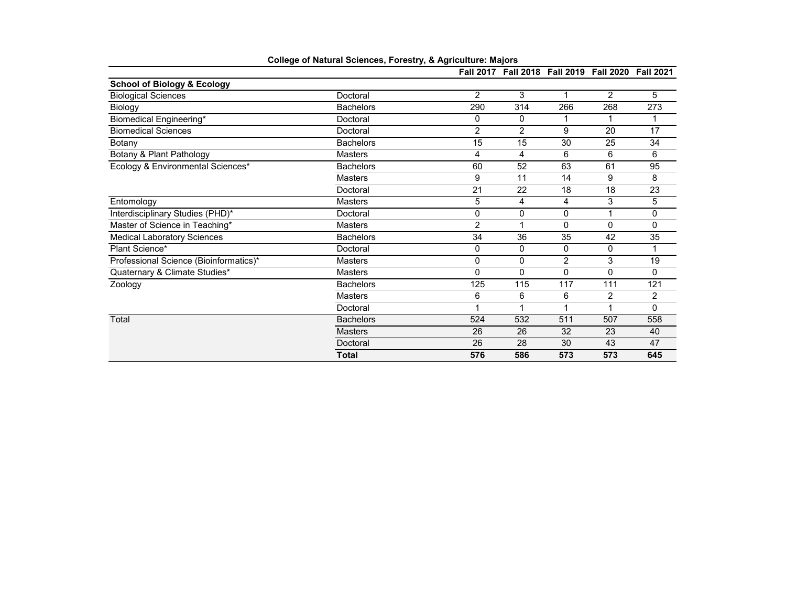|                                        |                  |                | Fall 2017 Fall 2018 Fall 2019 Fall 2020 Fall 2021 |                |                |          |
|----------------------------------------|------------------|----------------|---------------------------------------------------|----------------|----------------|----------|
| <b>School of Biology &amp; Ecology</b> |                  |                |                                                   |                |                |          |
| <b>Biological Sciences</b>             | Doctoral         | $\overline{2}$ | 3                                                 | 1              | $\overline{2}$ | 5        |
| Biology                                | <b>Bachelors</b> | 290            | 314                                               | 266            | 268            | 273      |
| Biomedical Engineering*                | Doctoral         | 0              | 0                                                 |                |                |          |
| <b>Biomedical Sciences</b>             | Doctoral         | $\overline{2}$ | $\overline{2}$                                    | 9              | 20             | 17       |
| Botany                                 | <b>Bachelors</b> | 15             | 15                                                | 30             | 25             | 34       |
| Botany & Plant Pathology               | <b>Masters</b>   | 4              | 4                                                 | 6              | 6              | 6        |
| Ecology & Environmental Sciences*      | <b>Bachelors</b> | 60             | 52                                                | 63             | 61             | 95       |
|                                        | <b>Masters</b>   | 9              | 11                                                | 14             | 9              | 8        |
|                                        | Doctoral         | 21             | 22                                                | 18             | 18             | 23       |
| Entomology                             | <b>Masters</b>   | 5              | 4                                                 | 4              | 3              | 5        |
| Interdisciplinary Studies (PHD)*       | Doctoral         | 0              | 0                                                 | 0              | 1              | 0        |
| Master of Science in Teaching*         | <b>Masters</b>   | 2              | 1                                                 | 0              | $\mathbf{0}$   | 0        |
| <b>Medical Laboratory Sciences</b>     | <b>Bachelors</b> | 34             | 36                                                | 35             | 42             | 35       |
| Plant Science*                         | Doctoral         | 0              | 0                                                 | 0              | 0              |          |
| Professional Science (Bioinformatics)* | <b>Masters</b>   | 0              | 0                                                 | $\overline{2}$ | 3              | 19       |
| Quaternary & Climate Studies*          | <b>Masters</b>   | 0              | 0                                                 | 0              | 0              | 0        |
| Zoology                                | <b>Bachelors</b> | 125            | 115                                               | 117            | 111            | 121      |
|                                        | <b>Masters</b>   | 6              | 6                                                 | 6              | 2              | 2        |
|                                        | Doctoral         | 1              | 1                                                 | 1              | 1              | $\Omega$ |
| Total                                  | <b>Bachelors</b> | 524            | 532                                               | 511            | 507            | 558      |
|                                        | <b>Masters</b>   | 26             | 26                                                | 32             | 23             | 40       |
|                                        | Doctoral         | 26             | 28                                                | 30             | 43             | 47       |
|                                        | <b>Total</b>     | 576            | 586                                               | 573            | 573            | 645      |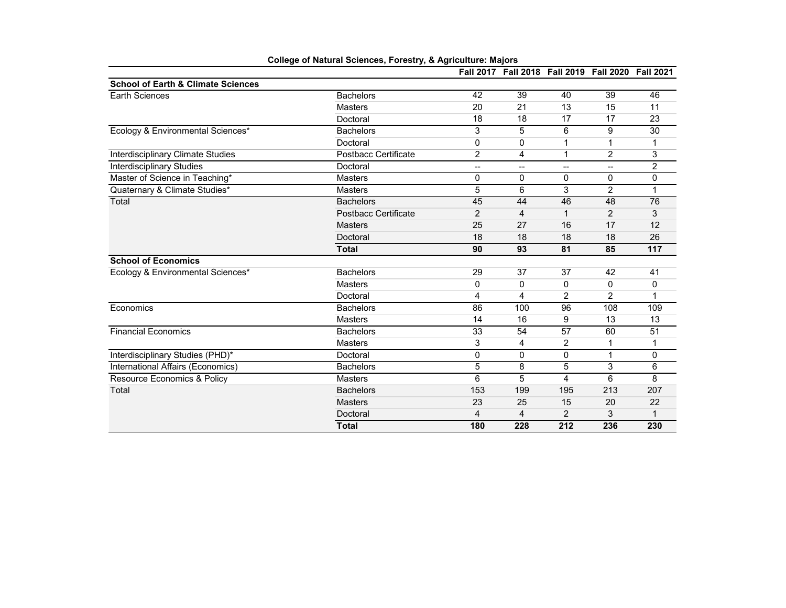|                                               |                             |                          |                |                 | Fall 2017 Fall 2018 Fall 2019 Fall 2020 Fall 2021 |                 |
|-----------------------------------------------|-----------------------------|--------------------------|----------------|-----------------|---------------------------------------------------|-----------------|
| <b>School of Earth &amp; Climate Sciences</b> |                             |                          |                |                 |                                                   |                 |
| <b>Earth Sciences</b>                         | <b>Bachelors</b>            | 42                       | 39             | 40              | 39                                                | 46              |
|                                               | <b>Masters</b>              | 20                       | 21             | 13              | 15                                                | 11              |
|                                               | Doctoral                    | 18                       | 18             | 17              | 17                                                | 23              |
| Ecology & Environmental Sciences*             | <b>Bachelors</b>            | 3                        | 5              | 6               | 9                                                 | 30              |
|                                               | Doctoral                    | 0                        | 0              | 1               | 1                                                 |                 |
| <b>Interdisciplinary Climate Studies</b>      | <b>Postbacc Certificate</b> | $\overline{c}$           | 4              | 1               | $\overline{2}$                                    | 3               |
| <b>Interdisciplinary Studies</b>              | Doctoral                    | $\overline{\phantom{a}}$ | --             | --              | --                                                | 2               |
| Master of Science in Teaching*                | <b>Masters</b>              | 0                        | 0              | 0               | $\mathbf{0}$                                      | 0               |
| Quaternary & Climate Studies*                 | <b>Masters</b>              | 5                        | 6              | 3               | $\overline{2}$                                    | 1               |
| Total                                         | <b>Bachelors</b>            | 45                       | 44             | 46              | 48                                                | 76              |
|                                               | Postbacc Certificate        | $\overline{c}$           | $\overline{4}$ | 1               | $\overline{2}$                                    | 3               |
|                                               | <b>Masters</b>              | 25                       | 27             | 16              | 17                                                | 12              |
|                                               | Doctoral                    | 18                       | 18             | 18              | 18                                                | 26              |
|                                               | <b>Total</b>                | 90                       | 93             | 81              | 85                                                | 117             |
| <b>School of Economics</b>                    |                             |                          |                |                 |                                                   |                 |
| Ecology & Environmental Sciences*             | <b>Bachelors</b>            | 29                       | 37             | 37              | $\overline{42}$                                   | 41              |
|                                               | <b>Masters</b>              | 0                        | 0              | 0               | 0                                                 | 0               |
|                                               | Doctoral                    | 4                        | 4              | $\overline{2}$  | $\overline{2}$                                    | 1               |
| Economics                                     | <b>Bachelors</b>            | 86                       | 100            | 96              | 108                                               | 109             |
|                                               | <b>Masters</b>              | 14                       | 16             | 9               | 13                                                | 13              |
| <b>Financial Economics</b>                    | <b>Bachelors</b>            | 33                       | 54             | $\overline{57}$ | 60                                                | $\overline{51}$ |
|                                               | <b>Masters</b>              | 3                        | 4              | 2               | 1                                                 | 1               |
| Interdisciplinary Studies (PHD)*              | Doctoral                    | $\mathbf{0}$             | 0              | 0               | 1                                                 | 0               |
| International Affairs (Economics)             | <b>Bachelors</b>            | 5                        | 8              | 5               | 3                                                 | 6               |
| Resource Economics & Policy                   | <b>Masters</b>              | 6                        | 5              | 4               | 6                                                 | 8               |
| Total                                         | <b>Bachelors</b>            | 153                      | 199            | 195             | $\overline{213}$                                  | 207             |
|                                               | <b>Masters</b>              | 23                       | 25             | 15              | 20                                                | 22              |
|                                               | Doctoral                    | 4                        | 4              | $\overline{2}$  | 3                                                 |                 |
|                                               | <b>Total</b>                | 180                      | 228            | 212             | 236                                               | 230             |

| <b>College of Natural Sciences, Forestry, &amp; Agriculture: Majors</b> |  |  |  |  |  |  |
|-------------------------------------------------------------------------|--|--|--|--|--|--|
|-------------------------------------------------------------------------|--|--|--|--|--|--|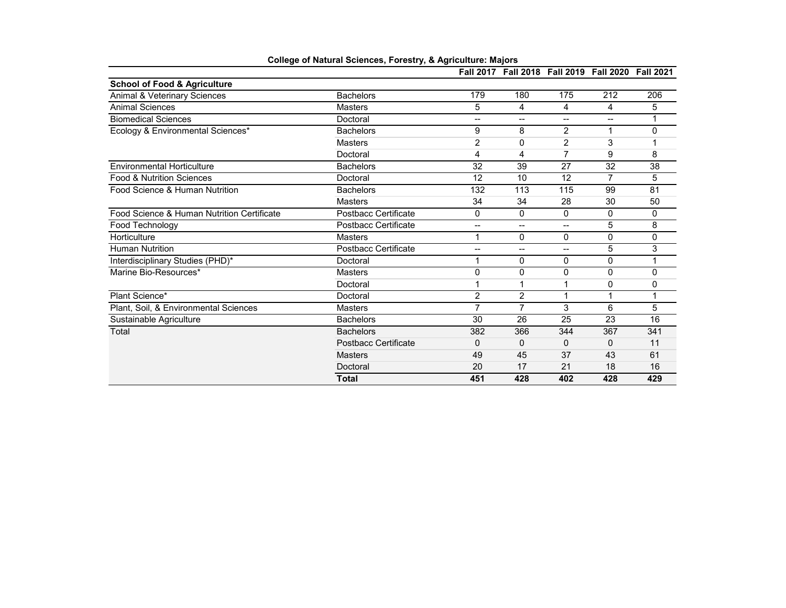|                                            |                      |                          | Fall 2017 Fall 2018 Fall 2019 Fall 2020 Fall 2021 |                          |                |          |
|--------------------------------------------|----------------------|--------------------------|---------------------------------------------------|--------------------------|----------------|----------|
| School of Food & Agriculture               |                      |                          |                                                   |                          |                |          |
| Animal & Veterinary Sciences               | <b>Bachelors</b>     | 179                      | 180                                               | 175                      | 212            | 206      |
| <b>Animal Sciences</b>                     | Masters              | 5                        | 4                                                 | 4                        | 4              | 5        |
| <b>Biomedical Sciences</b>                 | Doctoral             | $\overline{\phantom{a}}$ | $\overline{a}$                                    | $\qquad \qquad -$        | --             |          |
| Ecology & Environmental Sciences*          | <b>Bachelors</b>     | 9                        | 8                                                 | $\overline{2}$           | 1              | 0        |
|                                            | <b>Masters</b>       | 2                        | 0                                                 | $\overline{2}$           | 3              |          |
|                                            | Doctoral             | 4                        | 4                                                 | 7                        | 9              | 8        |
| <b>Environmental Horticulture</b>          | <b>Bachelors</b>     | 32                       | 39                                                | 27                       | 32             | 38       |
| <b>Food &amp; Nutrition Sciences</b>       | Doctoral             | 12                       | 10                                                | 12                       | $\overline{7}$ | 5        |
| Food Science & Human Nutrition             | <b>Bachelors</b>     | 132                      | 113                                               | 115                      | 99             | 81       |
|                                            | Masters              | 34                       | 34                                                | 28                       | 30             | 50       |
| Food Science & Human Nutrition Certificate | Postbacc Certificate | 0                        | 0                                                 | 0                        | 0              | 0        |
| Food Technology                            | Postbacc Certificate | $-$                      | $\overline{a}$                                    | $\overline{\phantom{a}}$ | 5              | 8        |
| Horticulture                               | <b>Masters</b>       | 1                        | 0                                                 | 0                        | 0              | 0        |
| <b>Human Nutrition</b>                     | Postbacc Certificate | --                       | $\overline{\phantom{a}}$                          | $\overline{\phantom{a}}$ | 5              | 3        |
| Interdisciplinary Studies (PHD)*           | Doctoral             |                          | 0                                                 | 0                        | 0              |          |
| Marine Bio-Resources*                      | Masters              | $\Omega$                 | 0                                                 | 0                        | 0              | $\Omega$ |
|                                            | Doctoral             |                          |                                                   | 1                        | 0              | 0        |
| Plant Science*                             | Doctoral             | 2                        | $\overline{2}$                                    | 1                        | 1              | 1        |
| Plant, Soil, & Environmental Sciences      | Masters              | 7                        | $\overline{7}$                                    | 3                        | 6              | 5        |
| Sustainable Agriculture                    | <b>Bachelors</b>     | 30                       | 26                                                | 25                       | 23             | 16       |
| Total                                      | <b>Bachelors</b>     | 382                      | 366                                               | 344                      | 367            | 341      |
|                                            | Postbacc Certificate | 0                        | $\Omega$                                          | $\Omega$                 | 0              | 11       |
|                                            | <b>Masters</b>       | 49                       | 45                                                | 37                       | 43             | 61       |
|                                            | Doctoral             | 20                       | 17                                                | 21                       | 18             | 16       |
|                                            | <b>Total</b>         | 451                      | 428                                               | 402                      | 428            | 429      |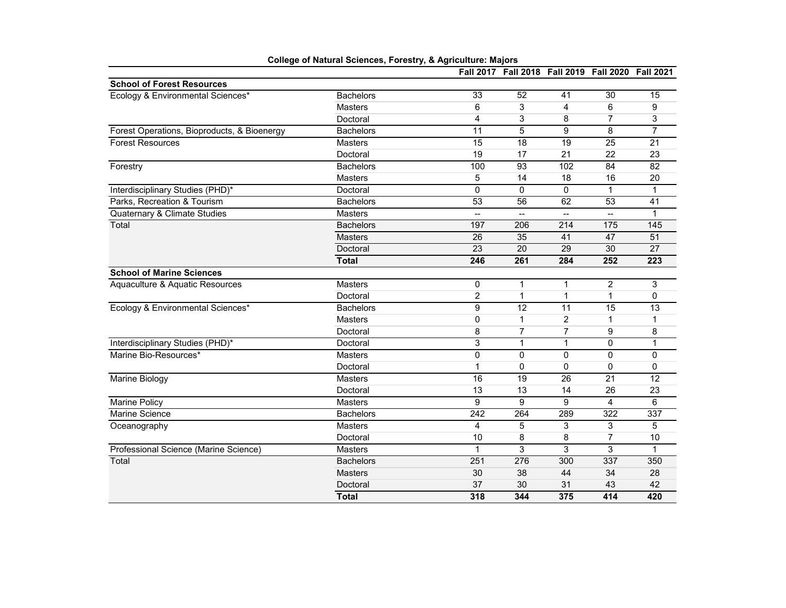|                                             |                  |                 | Fall 2017 Fall 2018 Fall 2019 Fall 2020 Fall 2021 |                  |                |                 |
|---------------------------------------------|------------------|-----------------|---------------------------------------------------|------------------|----------------|-----------------|
| <b>School of Forest Resources</b>           |                  |                 |                                                   |                  |                |                 |
| Ecology & Environmental Sciences*           | <b>Bachelors</b> | 33              | 52                                                | 41               | 30             | 15              |
|                                             | <b>Masters</b>   | 6               | 3                                                 | 4                | 6              | 9               |
|                                             | Doctoral         | 4               | 3                                                 | 8                | $\overline{7}$ | 3               |
| Forest Operations, Bioproducts, & Bioenergy | <b>Bachelors</b> | 11              | 5                                                 | 9                | 8              | $\overline{7}$  |
| <b>Forest Resources</b>                     | Masters          | $\overline{15}$ | 18                                                | 19               | 25             | 21              |
|                                             | Doctoral         | 19              | 17                                                | 21               | 22             | 23              |
| Forestry                                    | <b>Bachelors</b> | 100             | 93                                                | 102              | 84             | 82              |
|                                             | <b>Masters</b>   | 5               | 14                                                | 18               | 16             | 20              |
| Interdisciplinary Studies (PHD)*            | Doctoral         | $\mathbf 0$     | $\mathbf 0$                                       | 0                | $\mathbf{1}$   | 1               |
| Parks, Recreation & Tourism                 | <b>Bachelors</b> | 53              | 56                                                | 62               | 53             | 41              |
| Quaternary & Climate Studies                | Masters          | --              | --                                                | --               |                | 1               |
| Total                                       | <b>Bachelors</b> | 197             | 206                                               | $\overline{214}$ | 175            | 145             |
|                                             | <b>Masters</b>   | 26              | 35                                                | 41               | 47             | 51              |
|                                             | Doctoral         | 23              | 20                                                | 29               | 30             | $\overline{27}$ |
|                                             | <b>Total</b>     | 246             | 261                                               | 284              | 252            | 223             |
| <b>School of Marine Sciences</b>            |                  |                 |                                                   |                  |                |                 |
| Aquaculture & Aquatic Resources             | Masters          | 0               | 1                                                 | 1                | $\overline{2}$ | 3               |
|                                             | Doctoral         | $\overline{2}$  | 1                                                 | 1                | 1              | $\Omega$        |
| Ecology & Environmental Sciences*           | <b>Bachelors</b> | 9               | 12                                                | 11               | 15             | $\overline{13}$ |
|                                             | <b>Masters</b>   | 0               | $\mathbf{1}$                                      | $\overline{2}$   | $\mathbf{1}$   | 1               |
|                                             | Doctoral         | 8               | 7                                                 | $\overline{7}$   | 9              | 8               |
| Interdisciplinary Studies (PHD)*            | Doctoral         | 3               | $\mathbf{1}$                                      | $\mathbf{1}$     | $\Omega$       | 1               |
| Marine Bio-Resources*                       | <b>Masters</b>   | $\mathbf{0}$    | $\Omega$                                          | 0                | $\Omega$       | $\Omega$        |
|                                             | Doctoral         | 1               | 0                                                 | 0                | 0              | 0               |
| Marine Biology                              | <b>Masters</b>   | 16              | 19                                                | 26               | 21             | 12              |
|                                             | Doctoral         | 13              | 13                                                | 14               | 26             | 23              |
| <b>Marine Policy</b>                        | <b>Masters</b>   | 9               | 9                                                 | 9                | 4              | 6               |
| <b>Marine Science</b>                       | <b>Bachelors</b> | 242             | 264                                               | 289              | 322            | 337             |
| Oceanography                                | <b>Masters</b>   | $\overline{4}$  | 5                                                 | 3                | 3              | 5               |
|                                             | Doctoral         | 10              | 8                                                 | 8                | $\overline{7}$ | 10              |
| Professional Science (Marine Science)       | <b>Masters</b>   | $\mathbf{1}$    | 3                                                 | 3                | 3              | $\mathbf{1}$    |
| Total                                       | <b>Bachelors</b> | 251             | 276                                               | 300              | 337            | 350             |
|                                             | <b>Masters</b>   | 30              | 38                                                | 44               | 34             | 28              |
|                                             | Doctoral         | 37              | 30                                                | 31               | 43             | 42              |
|                                             | <b>Total</b>     | 318             | 344                                               | 375              | 414            | 420             |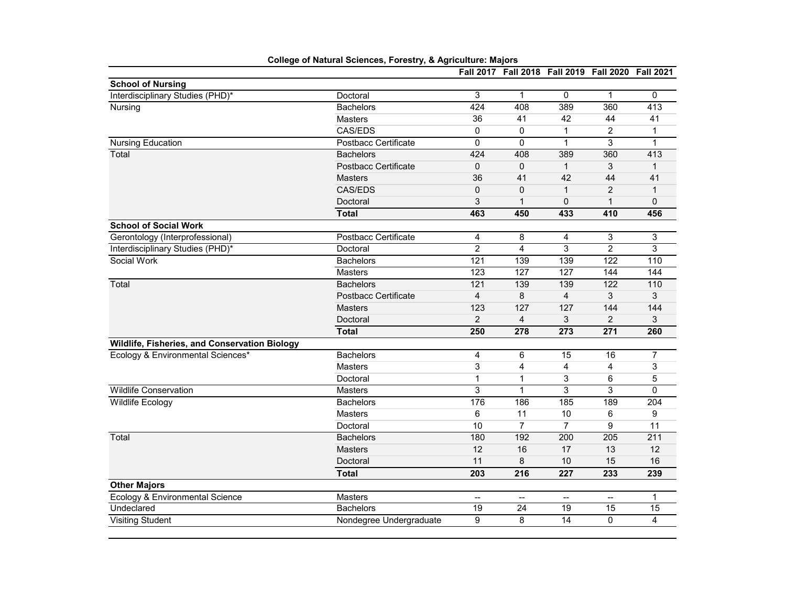|                                               |                             | <b>Fall 2017</b>         |                 |                 | Fall 2018 Fall 2019 Fall 2020 Fall 2021 |                   |
|-----------------------------------------------|-----------------------------|--------------------------|-----------------|-----------------|-----------------------------------------|-------------------|
| <b>School of Nursing</b>                      |                             |                          |                 |                 |                                         |                   |
| Interdisciplinary Studies (PHD)*              | Doctoral                    | 3                        | $\mathbf{1}$    | 0               | $\mathbf{1}$                            | $\mathbf{0}$      |
| Nursing                                       | <b>Bachelors</b>            | 424                      | 408             | 389             | 360                                     | 413               |
|                                               | <b>Masters</b>              | 36                       | 41              | 42              | 44                                      | 41                |
|                                               | CAS/EDS                     | 0                        | 0               | 1               | 2                                       | 1                 |
| <b>Nursing Education</b>                      | Postbacc Certificate        | $\mathbf 0$              | 0               | $\mathbf{1}$    | 3                                       | 1                 |
| Total                                         | <b>Bachelors</b>            | 424                      | 408             | 389             | 360                                     | 413               |
|                                               | Postbacc Certificate        | $\pmb{0}$                | 0               | $\mathbf{1}$    | 3                                       | $\mathbf{1}$      |
|                                               | <b>Masters</b>              | 36                       | 41              | 42              | 44                                      | 41                |
|                                               | CAS/EDS                     | $\mathbf 0$              | 0               | $\mathbf{1}$    | $\overline{2}$                          | 1                 |
|                                               | Doctoral                    | 3                        | $\mathbf{1}$    | 0               | $\mathbf{1}$                            | $\mathbf 0$       |
|                                               | <b>Total</b>                | 463                      | 450             | 433             | 410                                     | 456               |
| <b>School of Social Work</b>                  |                             |                          |                 |                 |                                         |                   |
| Gerontology (Interprofessional)               | <b>Postbacc Certificate</b> | 4                        | 8               | 4               | 3                                       | 3                 |
| Interdisciplinary Studies (PHD)*              | Doctoral                    | $\overline{2}$           | 4               | 3               | $\overline{2}$                          | 3                 |
| Social Work                                   | <b>Bachelors</b>            | 121                      | 139             | 139             | 122                                     | 110               |
|                                               | <b>Masters</b>              | 123                      | 127             | 127             | 144                                     | 144               |
| Total                                         | <b>Bachelors</b>            | 121                      | 139             | 139             | 122                                     | $\frac{110}{110}$ |
|                                               | <b>Postbacc Certificate</b> | $\overline{\mathbf{4}}$  | 8               | 4               | 3                                       | 3                 |
|                                               | <b>Masters</b>              | 123                      | 127             | 127             | 144                                     | 144               |
|                                               | Doctoral                    | $\overline{2}$           | $\overline{4}$  | 3               | $\overline{2}$                          | 3                 |
|                                               | <b>Total</b>                | 250                      | 278             | 273             | 271                                     | 260               |
| Wildlife, Fisheries, and Conservation Biology |                             |                          |                 |                 |                                         |                   |
| Ecology & Environmental Sciences*             | <b>Bachelors</b>            | $\overline{4}$           | 6               | 15              | 16                                      | 7                 |
|                                               | <b>Masters</b>              | 3                        | 4               | 4               | 4                                       | 3                 |
|                                               | Doctoral                    | $\mathbf{1}$             | $\mathbf{1}$    | 3               | 6                                       | 5                 |
| <b>Wildlife Conservation</b>                  | <b>Masters</b>              | 3                        | $\mathbf{1}$    | 3               | 3                                       | $\Omega$          |
| Wildlife Ecology                              | Bachelors                   | 176                      | 186             | 185             | 189                                     | 204               |
|                                               | <b>Masters</b>              | 6                        | 11              | 10              | 6                                       | 9                 |
|                                               | Doctoral                    | 10                       | $\overline{7}$  | $\overline{7}$  | 9                                       | 11                |
| Total                                         | <b>Bachelors</b>            | 180                      | 192             | 200             | 205                                     | 211               |
|                                               | <b>Masters</b>              | 12                       | 16              | 17              | 13                                      | 12                |
|                                               | Doctoral                    | 11                       | 8               | 10              | 15                                      | 16                |
|                                               | <b>Total</b>                | 203                      | 216             | 227             | 233                                     | 239               |
| <b>Other Majors</b>                           |                             |                          |                 |                 |                                         |                   |
| Ecology & Environmental Science               | Masters                     | $\overline{\phantom{a}}$ | $\overline{a}$  | --              | --                                      | 1                 |
| Undeclared                                    | <b>Bachelors</b>            | 19                       | $\overline{24}$ | $\overline{19}$ | 15                                      | $\overline{15}$   |
| <b>Visiting Student</b>                       | Nondegree Undergraduate     | 9                        | 8               | 14              | $\Omega$                                | 4                 |